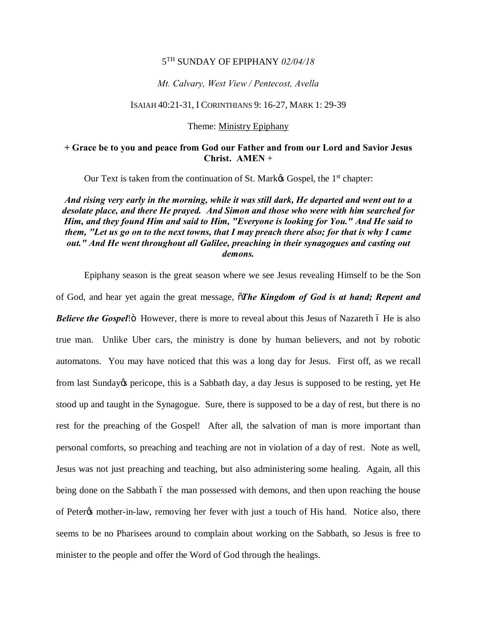## 5TH SUNDAY OF EPIPHANY *02/04/18*

## *Mt. Calvary, West View / Pentecost, Avella*

## ISAIAH 40:21-31, I CORINTHIANS 9: 16-27, MARK 1: 29-39

Theme: Ministry Epiphany

# **+ Grace be to you and peace from God our Father and from our Lord and Savior Jesus Christ. AMEN** +

Our Text is taken from the continuation of St. Mark $\alpha$  Gospel, the 1<sup>st</sup> chapter:

*And rising very early in the morning, while it was still dark, He departed and went out to a desolate place, and there He prayed. And Simon and those who were with him searched for Him, and they found Him and said to Him, "Everyone is looking for You." And He said to them, "Let us go on to the next towns, that I may preach there also; for that is why I came out." And He went throughout all Galilee, preaching in their synagogues and casting out demons.*

Epiphany season is the great season where we see Jesus revealing Himself to be the Son of God, and hear yet again the great message, "*The Kingdom of God is at hand; Repent and Believe the Gospel***!**" However, there is more to reveal about this Jesus of Nazareth 6 He is also true man. Unlike Uber cars, the ministry is done by human believers, and not by robotic automatons. You may have noticed that this was a long day for Jesus. First off, as we recall from last Sunday opericope, this is a Sabbath day, a day Jesus is supposed to be resting, yet He stood up and taught in the Synagogue. Sure, there is supposed to be a day of rest, but there is no rest for the preaching of the Gospel! After all, the salvation of man is more important than personal comforts, so preaching and teaching are not in violation of a day of rest. Note as well, Jesus was not just preaching and teaching, but also administering some healing. Again, all this being done on the Sabbath 6 the man possessed with demons, and then upon reaching the house of Peter<sub>of</sub> mother-in-law, removing her fever with just a touch of His hand. Notice also, there seems to be no Pharisees around to complain about working on the Sabbath, so Jesus is free to minister to the people and offer the Word of God through the healings.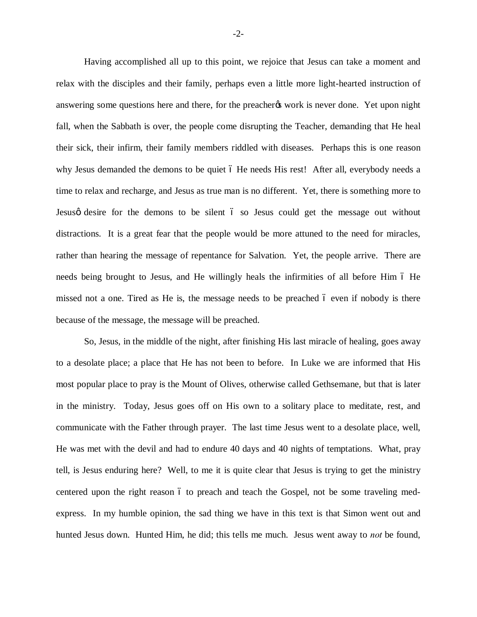Having accomplished all up to this point, we rejoice that Jesus can take a moment and relax with the disciples and their family, perhaps even a little more light-hearted instruction of answering some questions here and there, for the preacher to work is never done. Yet upon night fall, when the Sabbath is over, the people come disrupting the Teacher, demanding that He heal their sick, their infirm, their family members riddled with diseases. Perhaps this is one reason why Jesus demanded the demons to be quiet 6 He needs His rest! After all, everybody needs a time to relax and recharge, and Jesus as true man is no different. Yet, there is something more to Jesus of desire for the demons to be silent 6 so Jesus could get the message out without distractions. It is a great fear that the people would be more attuned to the need for miracles, rather than hearing the message of repentance for Salvation. Yet, the people arrive. There are needs being brought to Jesus, and He willingly heals the infirmities of all before Him 6 He missed not a one. Tired as He is, the message needs to be preached  $\acute{o}$  even if nobody is there because of the message, the message will be preached.

So, Jesus, in the middle of the night, after finishing His last miracle of healing, goes away to a desolate place; a place that He has not been to before. In Luke we are informed that His most popular place to pray is the Mount of Olives, otherwise called Gethsemane, but that is later in the ministry. Today, Jesus goes off on His own to a solitary place to meditate, rest, and communicate with the Father through prayer. The last time Jesus went to a desolate place, well, He was met with the devil and had to endure 40 days and 40 nights of temptations. What, pray tell, is Jesus enduring here? Well, to me it is quite clear that Jesus is trying to get the ministry centered upon the right reason 6 to preach and teach the Gospel, not be some traveling medexpress. In my humble opinion, the sad thing we have in this text is that Simon went out and hunted Jesus down. Hunted Him, he did; this tells me much. Jesus went away to *not* be found,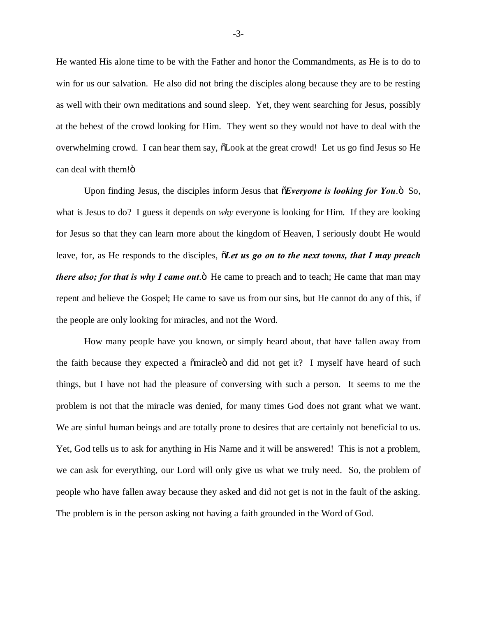He wanted His alone time to be with the Father and honor the Commandments, as He is to do to win for us our salvation. He also did not bring the disciples along because they are to be resting as well with their own meditations and sound sleep. Yet, they went searching for Jesus, possibly at the behest of the crowd looking for Him. They went so they would not have to deal with the overwhelming crowd. I can hear them say,  $\delta$ Look at the great crowd! Let us go find Jesus so He can deal with them!ö

Upon finding Jesus, the disciples inform Jesus that  $\delta$ *Everyone is looking for You*.<sup>5</sup> So, what is Jesus to do? I guess it depends on *why* everyone is looking for Him. If they are looking for Jesus so that they can learn more about the kingdom of Heaven, I seriously doubt He would leave, for, as He responds to the disciples,  $\tilde{o}$ *Let us go on to the next towns, that I may preach there also; for that is why I came out*.<sup>"</sup> He came to preach and to teach; He came that man may repent and believe the Gospel; He came to save us from our sins, but He cannot do any of this, if the people are only looking for miracles, and not the Word.

How many people have you known, or simply heard about, that have fallen away from the faith because they expected a  $\tilde{\text{om}}$  and did not get it? I myself have heard of such things, but I have not had the pleasure of conversing with such a person. It seems to me the problem is not that the miracle was denied, for many times God does not grant what we want. We are sinful human beings and are totally prone to desires that are certainly not beneficial to us. Yet, God tells us to ask for anything in His Name and it will be answered! This is not a problem, we can ask for everything, our Lord will only give us what we truly need. So, the problem of people who have fallen away because they asked and did not get is not in the fault of the asking. The problem is in the person asking not having a faith grounded in the Word of God.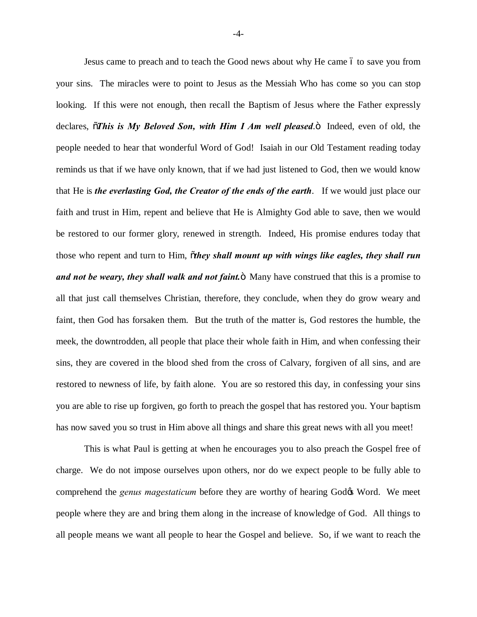Jesus came to preach and to teach the Good news about why He came 6 to save you from your sins. The miracles were to point to Jesus as the Messiah Who has come so you can stop looking. If this were not enough, then recall the Baptism of Jesus where the Father expressly declares,  $\tilde{o}$ *This is My Beloved Son, with Him I Am well pleased.* $\ddot{o}$  Indeed, even of old, the people needed to hear that wonderful Word of God! Isaiah in our Old Testament reading today reminds us that if we have only known, that if we had just listened to God, then we would know that He is *the everlasting God, the Creator of the ends of the earth*. If we would just place our faith and trust in Him, repent and believe that He is Almighty God able to save, then we would be restored to our former glory, renewed in strength. Indeed, His promise endures today that those who repent and turn to Him,  $\tilde{o}$ *they shall mount up with wings like eagles, they shall run and not be weary, they shall walk and not faint*. Nany have construed that this is a promise to all that just call themselves Christian, therefore, they conclude, when they do grow weary and faint, then God has forsaken them. But the truth of the matter is, God restores the humble, the meek, the downtrodden, all people that place their whole faith in Him, and when confessing their sins, they are covered in the blood shed from the cross of Calvary, forgiven of all sins, and are restored to newness of life, by faith alone. You are so restored this day, in confessing your sins you are able to rise up forgiven, go forth to preach the gospel that has restored you. Your baptism has now saved you so trust in Him above all things and share this great news with all you meet!

This is what Paul is getting at when he encourages you to also preach the Gospel free of charge. We do not impose ourselves upon others, nor do we expect people to be fully able to comprehend the *genus magestaticum* before they are worthy of hearing God& Word. We meet people where they are and bring them along in the increase of knowledge of God. All things to all people means we want all people to hear the Gospel and believe. So, if we want to reach the